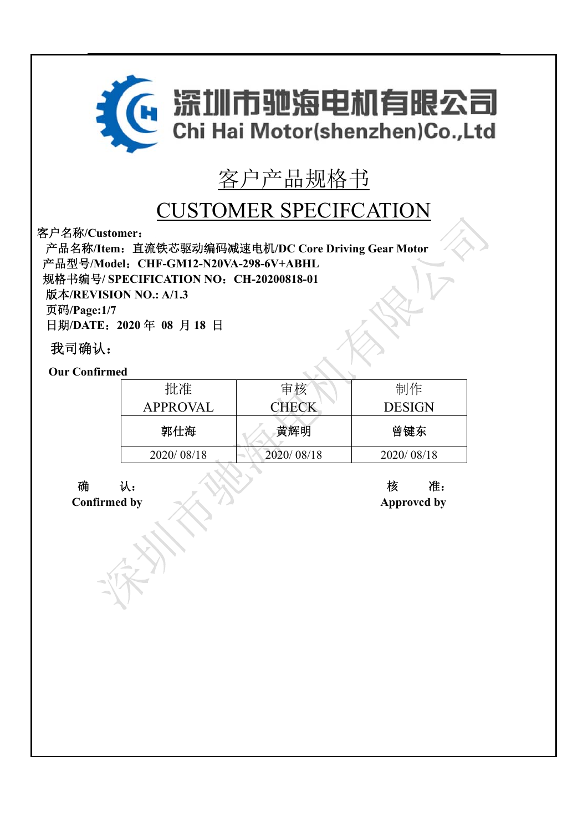

# 客户产品规格书

## CUSTOMER SPECIFCATION

客户名称**/Customer**:

产品名称**/Item**:直流铁芯驱动编码减速电机**/DC Core Driving Gear Motor**  产品型号**/Model**:**CHF-GM12-N20VA-298-6V+ABHL**  规格书编号**/ SPECIFICATION NO**:**CH-20200818-01** 

版本**/REVISION NO.: A/1.3** 

页码**/Page:1/7** 

日期**/DATE**:**2020** 年 **08** 月 **18** 日

## 我司确认:

**Our Confirmed** 

| ---        |              |               |
|------------|--------------|---------------|
| 批准         | 审核           | 制作            |
| APPROVAL   | <b>CHECK</b> | <b>DESIGN</b> |
| 郭仕海        | 黄辉明          | 曾键东           |
| 2020/08/18 | 2020/08/18   | 2020/08/18    |
|            |              |               |

确认:核准: **Confirmed by Approvcd by**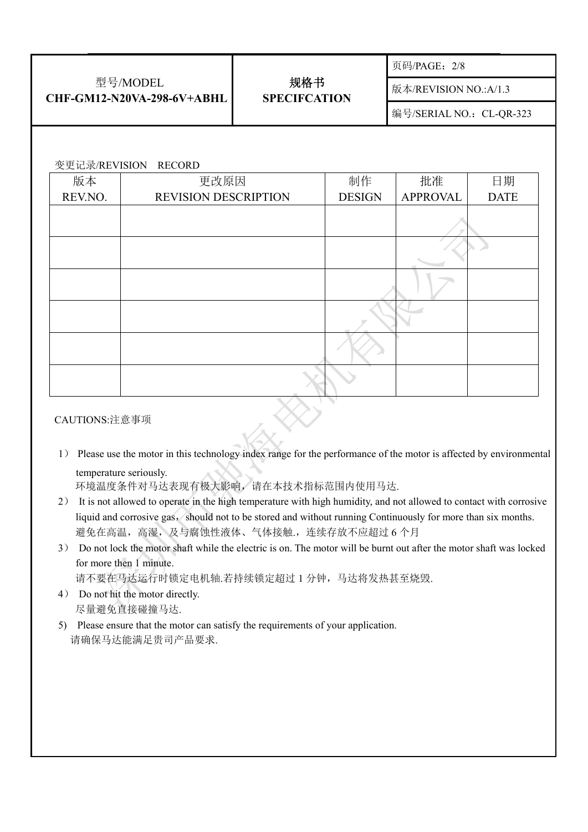| 型号/MODEL<br>CHF-GM12-N20VA-298-6V+ABHL |                             | 规格书<br><b>SPECIFCATION</b> |               | 页码/PAGE: 2/8             |             |  |
|----------------------------------------|-----------------------------|----------------------------|---------------|--------------------------|-------------|--|
|                                        |                             |                            |               | 版本/REVISION NO.:A/1.3    |             |  |
|                                        |                             |                            |               | 编号/SERIAL NO.: CL-QR-323 |             |  |
|                                        |                             |                            |               |                          |             |  |
| 变更记录/REVISION                          | <b>RECORD</b>               |                            |               |                          |             |  |
| 版本                                     | 更改原因                        |                            | 制作            | 批准                       | 日期          |  |
| REV.NO.                                | <b>REVISION DESCRIPTION</b> |                            | <b>DESIGN</b> | <b>APPROVAL</b>          | <b>DATE</b> |  |
|                                        |                             |                            |               |                          |             |  |
|                                        |                             |                            |               |                          |             |  |
|                                        |                             |                            |               |                          |             |  |
|                                        |                             |                            |               |                          |             |  |
|                                        |                             |                            |               |                          |             |  |
|                                        |                             |                            |               |                          |             |  |

#### CAUTIONS:注意事项

1) Please use the motor in this technology index range for the performance of the motor is affected by environmental temperature seriously.

环境温度条件对马达表现有极大影响,请在本技术指标范围内使用马达.

- 2) It is not allowed to operate in the high temperature with high humidity, and not allowed to contact with corrosive liquid and corrosive gas, should not to be stored and without running Continuously for more than six months. 避免在高温,高湿,及与腐蚀性液体、气体接触.,连续存放不应超过6个月
- 3) Do not lock the motor shaft while the electric is on. The motor will be burnt out after the motor shaft was locked for more then 1 minute.

请不要在马达运行时锁定电机轴.若持续锁定超过 1 分钟,马达将发热甚至烧毁.

- 4) Do not hit the motor directly. 尽量避免直接碰撞马达.
- 5) Please ensure that the motor can satisfy the requirements of your application. 请确保马达能满足贵司产品要求.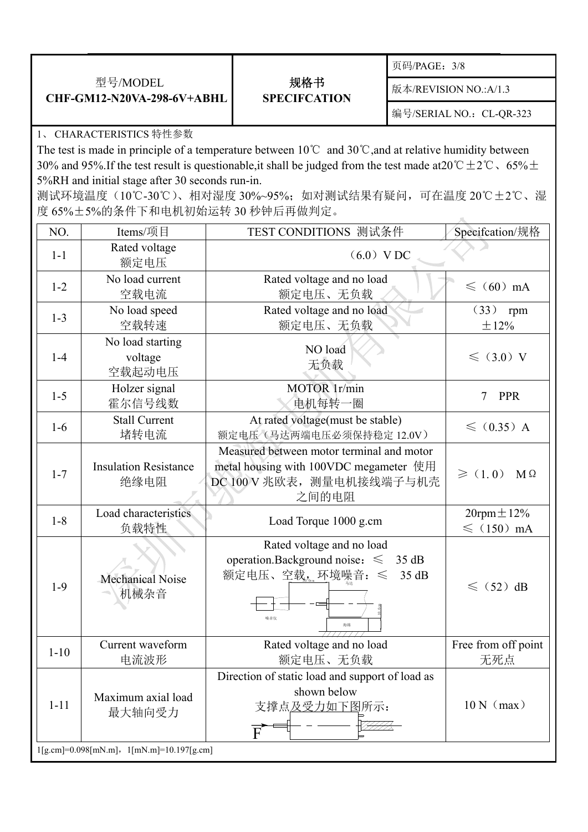|                                               |                            | 页码/PAGE: 3/8             |
|-----------------------------------------------|----------------------------|--------------------------|
| 型号/MODEL<br><b>CHF-GM12-N20VA-298-6V+ABHL</b> | 规格书<br><b>SPECIFCATION</b> | 版本/REVISION NO.:A/1.3    |
|                                               |                            | 编号/SERIAL NO.: CL-QR-323 |

### 1、 CHARACTERISTICS 特性参数

The test is made in principle of a temperature between 10℃ and 30℃,and at relative humidity between 30% and 95%.If the test result is questionable, it shall be judged from the test made at  $20^{\circ}$ C $\pm$ 2°C  $\cdot$  65% $\pm$ 5%RH and initial stage after 30 seconds run-in.

测试环境温度(10℃-30℃)、相对湿度 30%~95%;如对测试结果有疑问,可在温度 20℃±2℃、湿 度 65%±5%的条件下和电机初始运转 30 秒钟后再做判定。

| NO.                                         | Items/项目                              | TEST CONDITIONS 测试条件                                                                                                      | Specifcation/规格                             |  |  |  |
|---------------------------------------------|---------------------------------------|---------------------------------------------------------------------------------------------------------------------------|---------------------------------------------|--|--|--|
| $1-1$                                       | Rated voltage<br>额定电压                 | $(6.0)$ VDC                                                                                                               |                                             |  |  |  |
| $1 - 2$                                     | No load current<br>空载电流               | Rated voltage and no load<br>额定电压、无负载                                                                                     | $\leqslant$ (60) mA                         |  |  |  |
| $1 - 3$                                     | No load speed<br>空载转速                 | Rated voltage and no load<br>额定电压、无负载                                                                                     | (33) rpm<br>$\pm 12\%$                      |  |  |  |
| $1-4$                                       | No load starting<br>voltage<br>空载起动电压 | NO load<br>无负载                                                                                                            | $\leq$ (3.0) V                              |  |  |  |
| $1-5$                                       | Holzer signal<br>霍尔信号线数               | MOTOR 1r/min<br>电机每转一圈                                                                                                    | $\tau$<br><b>PPR</b>                        |  |  |  |
| $1-6$                                       | <b>Stall Current</b><br>堵转电流          | At rated voltage(must be stable)<br>额定电压(马达两端电压必须保持稳定 12.0V)                                                              | $\leqslant$ (0.35) A                        |  |  |  |
| $1 - 7$                                     | <b>Insulation Resistance</b><br>绝缘电阻  | Measured between motor terminal and motor<br>metal housing with 100VDC megameter 使用<br>DC 100 V 兆欧表, 测量电机接线端子与机壳<br>之间的电阻 | $\geqslant$ (1.0)<br>$M\Omega$              |  |  |  |
| $1 - 8$                                     | Load characteristics<br>负载特性          | Load Torque 1000 g.cm                                                                                                     | $20$ rpm $\pm 12\%$<br>$\leqslant$ (150) mA |  |  |  |
| $1-9$                                       | Mechanical Noise<br>机械杂音              | Rated voltage and no load<br>operation.Background noise: $\leq$<br>35 dB<br>额定电压、空载, 环境噪音: ≤<br>35 dB<br>噪音仪<br>海绵        | $\leqslant$ (52) dB                         |  |  |  |
| $1 - 10$                                    | Current waveform<br>电流波形              | Rated voltage and no load<br>额定电压、无负载                                                                                     | Free from off point<br>无死点                  |  |  |  |
| $1 - 11$                                    | Maximum axial load<br>最大轴向受力          | Direction of static load and support of load as<br>shown below<br>$10 N$ (max)<br>支撑点及受力如下图所示:                            |                                             |  |  |  |
| $1[g.cm]=0.098[mN.m], 1[mN.m]=10.197[g.cm]$ |                                       |                                                                                                                           |                                             |  |  |  |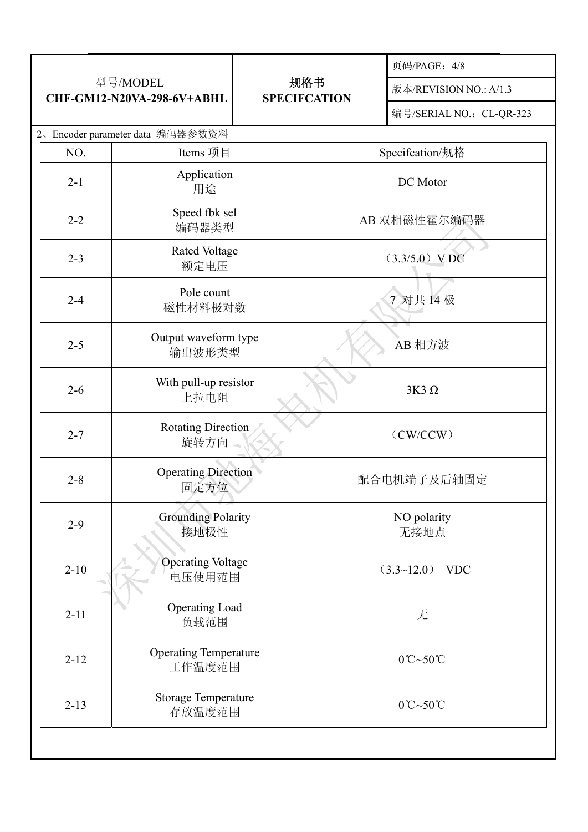| 型号/MODEL<br>CHF-GM12-N20VA-298-6V+ABHL |                                        | 规格书<br><b>SPECIFCATION</b> |                               | 页码/PAGE: 4/8                  |  |
|----------------------------------------|----------------------------------------|----------------------------|-------------------------------|-------------------------------|--|
|                                        |                                        |                            |                               | 版本/REVISION NO.: A/1.3        |  |
|                                        |                                        |                            |                               | 编号/SERIAL NO.: CL-QR-323      |  |
|                                        | 2、Encoder parameter data 编码器参数资料       |                            |                               |                               |  |
| NO.                                    | Items 项目                               |                            | Specifcation/规格               |                               |  |
| $2 - 1$                                | Application<br>用途                      |                            |                               | DC Motor                      |  |
| $2 - 2$                                | Speed fbk sel<br>编码器类型                 |                            | AB 双相磁性霍尔编码器                  |                               |  |
| $2 - 3$                                | <b>Rated Voltage</b><br>额定电压           |                            |                               | $(3.3/5.0)$ VDC               |  |
| $2 - 4$                                | Pole count<br>磁性材料极对数                  |                            |                               | 7 对共 14 极                     |  |
| $2 - 5$                                | Output waveform type<br>输出波形类型         |                            | AB 相方波                        |                               |  |
| $2 - 6$                                | With pull-up resistor<br>上拉电阻          |                            | $3K3\Omega$                   |                               |  |
| $2 - 7$                                | <b>Rotating Direction</b><br>旋转方向      |                            | (CW/CCW)                      |                               |  |
| $2 - 8$                                | <b>Operating Direction</b><br>固定方位     |                            | 配合电机端子及后轴固定                   |                               |  |
| $2-9$                                  | <b>Grounding Polarity</b><br>接地极性      |                            |                               | NO polarity<br>无接地点           |  |
| $2 - 10$                               | <b>Operating Voltage</b><br>电压使用范围     |                            | $(3.3~12.0)$ VDC              |                               |  |
| $2 - 11$                               | Operating Load<br>负载范围                 |                            | 无                             |                               |  |
| $2 - 12$                               | <b>Operating Temperature</b><br>工作温度范围 |                            | $0^{\circ}$ C~50 $^{\circ}$ C |                               |  |
| $2 - 13$                               | <b>Storage Temperature</b><br>存放温度范围   |                            |                               | $0^{\circ}$ C~50 $^{\circ}$ C |  |
|                                        |                                        |                            |                               |                               |  |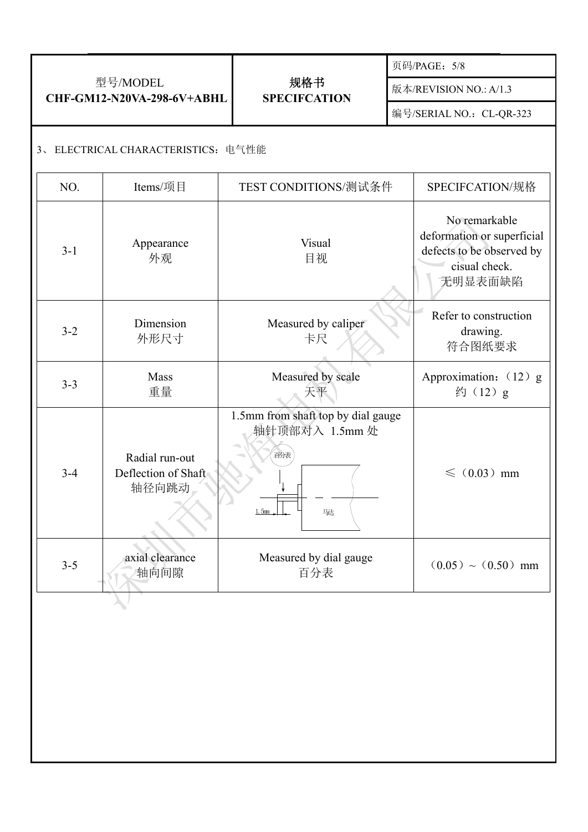| 型号/MODEL<br>CHF-GM12-N20VA-298-6V+ABHL |                                    |                                                | 规格书<br><b>SPECIFCATION</b>                                                                                                                                         |  | 页码/PAGE: 5/8                                                                                         |  |  |  |  |
|----------------------------------------|------------------------------------|------------------------------------------------|--------------------------------------------------------------------------------------------------------------------------------------------------------------------|--|------------------------------------------------------------------------------------------------------|--|--|--|--|
|                                        |                                    |                                                |                                                                                                                                                                    |  | 版本/REVISION NO.: A/1.3                                                                               |  |  |  |  |
|                                        |                                    |                                                |                                                                                                                                                                    |  | 编号/SERIAL NO.: CL-QR-323                                                                             |  |  |  |  |
|                                        | 3、ELECTRICAL CHARACTERISTICS: 电气性能 |                                                |                                                                                                                                                                    |  |                                                                                                      |  |  |  |  |
|                                        | NO.                                | Items/项目                                       | TEST CONDITIONS/测试条件                                                                                                                                               |  | SPECIFCATION/规格                                                                                      |  |  |  |  |
|                                        | $3 - 1$                            | Appearance<br>外观                               | Visual<br>目视<br>Measured by caliper<br>卡尺<br>Measured by scale<br>天平<br>1.5mm from shaft top by dial gauge<br>轴针顶部对入 1.5mm 处<br>百分表<br>2<br>1.5 <sub>mm</sub><br>骇 |  | No remarkable<br>deformation or superficial<br>defects to be observed by<br>cisual check.<br>无明显表面缺陷 |  |  |  |  |
|                                        | $3 - 2$                            | Dimension<br>外形尺寸                              |                                                                                                                                                                    |  | Refer to construction<br>drawing.<br>符合图纸要求                                                          |  |  |  |  |
|                                        | $3 - 3$                            | Mass<br>重量                                     |                                                                                                                                                                    |  | Approximation: (12) g<br>约 (12) g                                                                    |  |  |  |  |
|                                        | $3 - 4$                            | Radial run-out<br>Deflection of Shaft<br>轴径向跳动 |                                                                                                                                                                    |  | $\leqslant$ (0.03) mm                                                                                |  |  |  |  |
|                                        | $3 - 5$                            | axial clearance<br>轴向间隙                        | Measured by dial gauge<br>百分表                                                                                                                                      |  | $(0.05) \sim (0.50)$ mm                                                                              |  |  |  |  |
|                                        |                                    |                                                |                                                                                                                                                                    |  |                                                                                                      |  |  |  |  |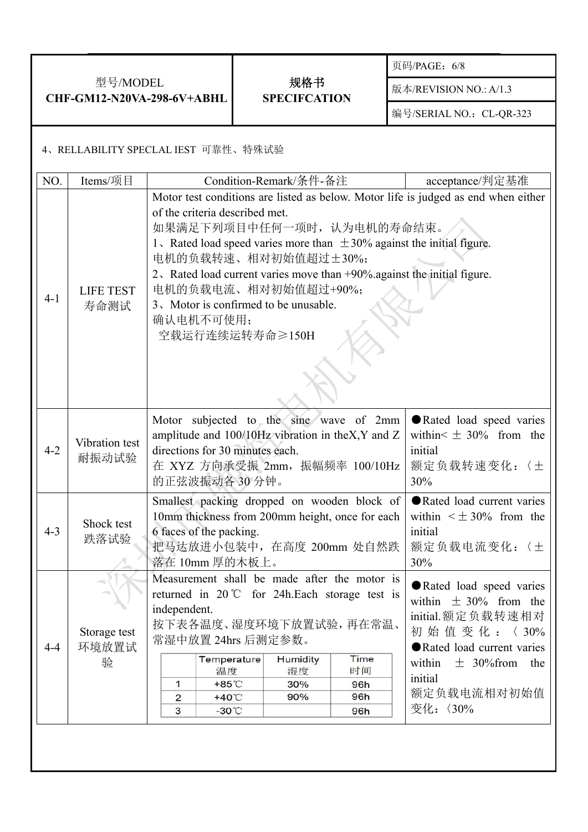| 型号/MODEL<br>CHF-GM12-N20VA-298-6V+ABHL |                                     |                                                                                                                                                                                                                                                                                                                                                                                                                                                                                                                                                                |  |                            |                        | 页码/PAGE: 6/8             |  |
|----------------------------------------|-------------------------------------|----------------------------------------------------------------------------------------------------------------------------------------------------------------------------------------------------------------------------------------------------------------------------------------------------------------------------------------------------------------------------------------------------------------------------------------------------------------------------------------------------------------------------------------------------------------|--|----------------------------|------------------------|--------------------------|--|
|                                        |                                     |                                                                                                                                                                                                                                                                                                                                                                                                                                                                                                                                                                |  | 规格书<br><b>SPECIFCATION</b> | 版本/REVISION NO.: A/1.3 |                          |  |
|                                        |                                     |                                                                                                                                                                                                                                                                                                                                                                                                                                                                                                                                                                |  |                            |                        | 编号/SERIAL NO.: CL-QR-323 |  |
|                                        | 4、RELLABILITY SPECLAL IEST 可靠性、特殊试验 |                                                                                                                                                                                                                                                                                                                                                                                                                                                                                                                                                                |  |                            |                        |                          |  |
| NO.                                    | Items/项目                            |                                                                                                                                                                                                                                                                                                                                                                                                                                                                                                                                                                |  | Condition-Remark/条件-备注     |                        | acceptance/判定基准          |  |
| $4 - 1$                                | <b>LIFE TEST</b><br>寿命测试            | Motor test conditions are listed as below. Motor life is judged as end when either<br>of the criteria described met.<br>如果满足下列项目中任何一项时, 认为电机的寿命结束。<br>1. Rated load speed varies more than $\pm$ 30% against the initial figure.<br>电机的负载转速、相对初始值超过土30%;<br>2. Rated load current varies move than +90% against the initial figure.<br>电机的负载电流、相对初始值超过+90%;<br>3. Motor is confirmed to be unusable.<br>确认电机不可使用;<br>空载运行连续运转寿命≥150H                                                                                                                           |  |                            |                        |                          |  |
| $4 - 2$                                | Vibration test<br>耐振动试验             | Motor subjected to the sine wave of 2mm<br>Rated load speed varies<br>amplitude and 100/10Hz vibration in the X, Y and Z<br>within $\leq \pm 30\%$ from the<br>directions for 30 minutes each.<br>initial<br>在 XYZ 方向承受振 2mm, 振幅频率 100/10Hz<br>额定负载转速变化:〈土<br>的正弦波振动各30分钟。<br>30%                                                                                                                                                                                                                                                                              |  |                            |                        |                          |  |
| $4 - 3$                                | Shock test<br>跌落试验                  | Rated load current varies<br>Smallest packing dropped on wooden block of<br>10mm thickness from 200mm height, once for each<br>within $\leq \pm 30\%$ from the<br>6 faces of the packing.<br>initial<br>把马达放进小包装中, 在高度 200mm 处自然跌<br>额定负载电流变化:〈土<br>落在 10mm 厚的木板上。<br>30%                                                                                                                                                                                                                                                                                      |  |                            |                        |                          |  |
| $4 - 4$                                | Storage test<br>环境放置试<br>验          | Measurement shall be made after the motor is<br>Rated load speed varies<br>returned in $20^{\circ}$ for 24h. Each storage test is<br>within $\pm$ 30% from the<br>independent.<br>initial.额定负载转速相对<br>按下表各温度、湿度环境下放置试验,再在常温、<br>初始值变化:〈30%<br>常湿中放置 24hrs 后测定参数。<br>Rated load current varies<br>Time<br>Temperature<br>Humidity<br>$\pm$ 30% from<br>within<br>the<br>时间<br>温度<br>湿度<br>initial<br>$\mathbf{1}$<br>$+85^{\circ}$ C<br>30%<br>96h<br>额定负载电流相对初始值<br>90%<br>96h<br>$+40^{\circ}$ C<br>$\overline{2}$<br>变化: 〈30%<br>3<br>$-30^{\circ}$ C<br>96h |  |                            |                        |                          |  |
|                                        |                                     |                                                                                                                                                                                                                                                                                                                                                                                                                                                                                                                                                                |  |                            |                        |                          |  |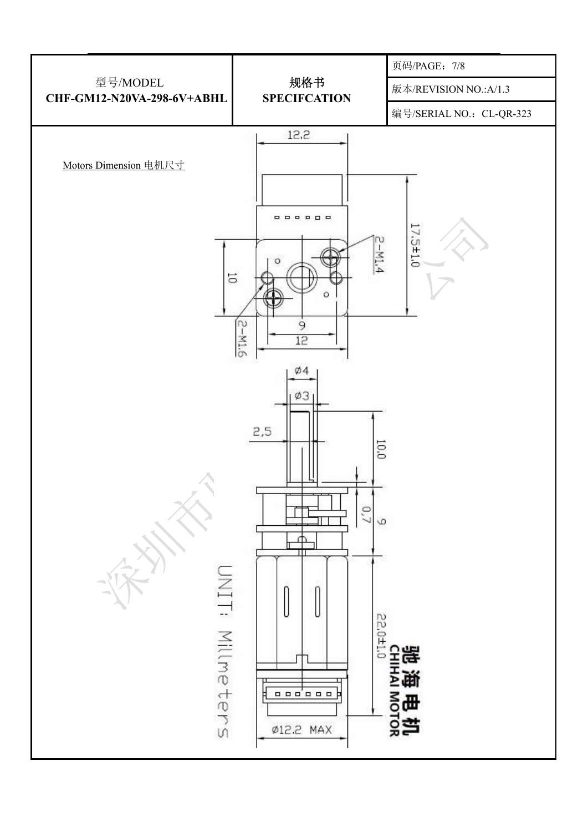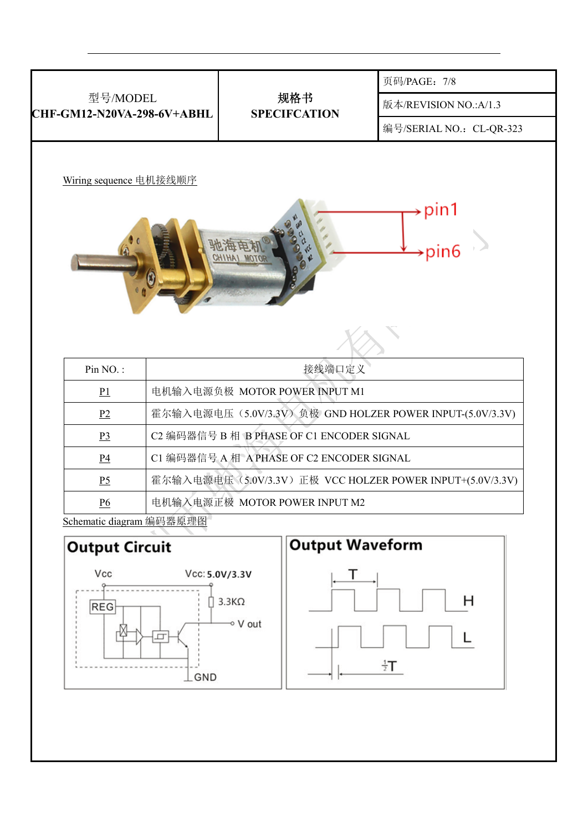

H